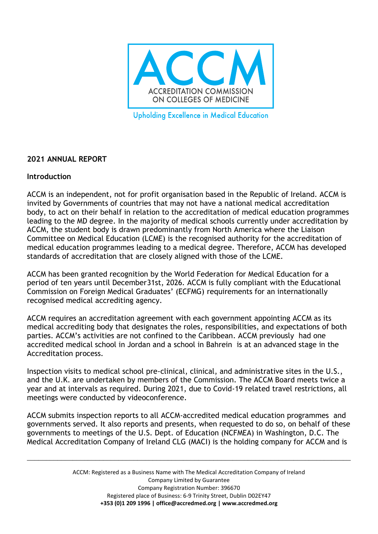

**Upholding Excellence in Medical Education** 

# **2021 ANNUAL REPORT**

# **Introduction**

ACCM is an independent, not for profit organisation based in the Republic of Ireland. ACCM is invited by Governments of countries that may not have a national medical accreditation body, to act on their behalf in relation to the accreditation of medical education programmes leading to the MD degree. In the majority of medical schools currently under accreditation by ACCM, the student body is drawn predominantly from North America where the Liaison Committee on Medical Education (LCME) is the recognised authority for the accreditation of medical education programmes leading to a medical degree. Therefore, ACCM has developed standards of accreditation that are closely aligned with those of the LCME.

ACCM has been granted recognition by the World Federation for Medical Education for a period of ten years until December31st, 2026. ACCM is fully compliant with the Educational Commission on Foreign Medical Graduates' (ECFMG) requirements for an internationally recognised medical accrediting agency.

ACCM requires an accreditation agreement with each government appointing ACCM as its medical accrediting body that designates the roles, responsibilities, and expectations of both parties. ACCM's activities are not confined to the Caribbean. ACCM previously had one accredited medical school in Jordan and a school in Bahrein is at an advanced stage in the Accreditation process.

Inspection visits to medical school pre-clinical, clinical, and administrative sites in the U.S., and the U.K. are undertaken by members of the Commission. The ACCM Board meets twice a year and at intervals as required. During 2021, due to Covid-19 related travel restrictions, all meetings were conducted by videoconference.

ACCM submits inspection reports to all ACCM-accredited medical education programmes and governments served. It also reports and presents, when requested to do so, on behalf of these governments to meetings of the U.S. Dept. of Education (NCFMEA) in Washington, D.C. The Medical Accreditation Company of Ireland CLG (MACI) is the holding company for ACCM and is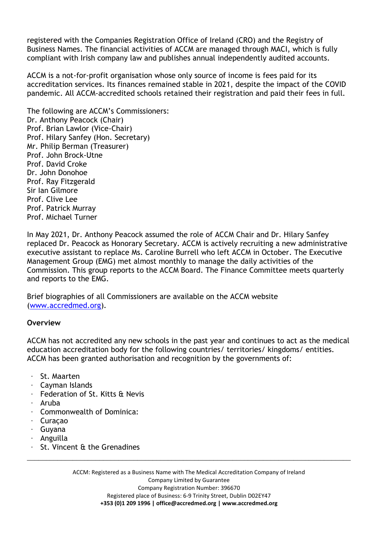registered with the Companies Registration Office of Ireland (CRO) and the Registry of Business Names. The financial activities of ACCM are managed through MACI, which is fully compliant with Irish company law and publishes annual independently audited accounts.

ACCM is a not-for-profit organisation whose only source of income is fees paid for its accreditation services. Its finances remained stable in 2021, despite the impact of the COVID pandemic. All ACCM-accredited schools retained their registration and paid their fees in full.

The following are ACCM's Commissioners: Dr. Anthony Peacock (Chair) Prof. Brian Lawlor (Vice-Chair) Prof. Hilary Sanfey (Hon. Secretary) Mr. Philip Berman (Treasurer) Prof. John Brock-Utne Prof. David Croke Dr. John Donohoe Prof. Ray Fitzgerald Sir Ian Gilmore Prof. Clive Lee Prof. Patrick Murray Prof. Michael Turner

In May 2021, Dr. Anthony Peacock assumed the role of ACCM Chair and Dr. Hilary Sanfey replaced Dr. Peacock as Honorary Secretary. ACCM is actively recruiting a new administrative executive assistant to replace Ms. Caroline Burrell who left ACCM in October. The Executive Management Group (EMG) met almost monthly to manage the daily activities of the Commission. This group reports to the ACCM Board. The Finance Committee meets quarterly and reports to the EMG.

Brief biographies of all Commissioners are available on the ACCM website [\(www.accredmed.org\)](http://www.accredmed.org/).

#### **Overview**

ACCM has not accredited any new schools in the past year and continues to act as the medical education accreditation body for the following countries/ territories/ kingdoms/ entities. ACCM has been granted authorisation and recognition by the governments of:

- · St. Maarten
- · Cayman Islands
- · Federation of St. Kitts & Nevis
- · Aruba
- · Commonwealth of Dominica:
- · Curaçao
- · Guyana
- · Anguilla
- St. Vincent & the Grenadines

ACCM: Registered as a Business Name with The Medical Accreditation Company of Ireland Company Limited by Guarantee Company Registration Number: 396670 Registered place of Business: 6-9 Trinity Street, Dublin D02EY47 **[+353 \(0\)1 2](mailto:+353%20(0)1)09 1996 | [office@accredmed.org](mailto:office@accredmed.org) | [www.accredmed.org](http://www.accredmed.org/)**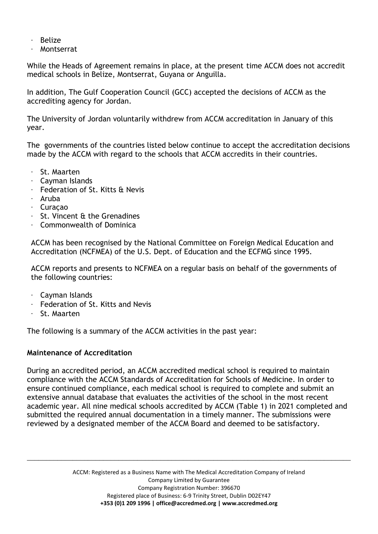- · Belize
- **Montserrat**

While the Heads of Agreement remains in place, at the present time ACCM does not accredit medical schools in Belize, Montserrat, Guyana or Anguilla.

In addition, The Gulf Cooperation Council (GCC) accepted the decisions of ACCM as the accrediting agency for Jordan.

The University of Jordan voluntarily withdrew from ACCM accreditation in January of this year.

The governments of the countries listed below continue to accept the accreditation decisions made by the ACCM with regard to the schools that ACCM accredits in their countries.

- · St. Maarten
- · Cayman Islands
- Federation of St. Kitts & Nevis
- · Aruba
- · Curaçao
- · St. Vincent & the Grenadines
- · Commonwealth of Dominica

ACCM has been recognised by the National Committee on Foreign Medical Education and Accreditation (NCFMEA) of the U.S. Dept. of Education and the ECFMG since 1995.

ACCM reports and presents to NCFMEA on a regular basis on behalf of the governments of the following countries:

- · Cayman Islands
- Federation of St. Kitts and Nevis
- · St. Maarten

The following is a summary of the ACCM activities in the past year:

#### **Maintenance of Accreditation**

During an accredited period, an ACCM accredited medical school is required to maintain compliance with the ACCM Standards of Accreditation for Schools of Medicine. In order to ensure continued compliance, each medical school is required to complete and submit an extensive annual database that evaluates the activities of the school in the most recent academic year. All nine medical schools accredited by ACCM (Table 1) in 2021 completed and submitted the required annual documentation in a timely manner. The submissions were reviewed by a designated member of the ACCM Board and deemed to be satisfactory.

> ACCM: Registered as a Business Name with The Medical Accreditation Company of Ireland Company Limited by Guarantee Company Registration Number: 396670 Registered place of Business: 6-9 Trinity Street, Dublin D02EY47 **[+353 \(0\)1 2](mailto:+353%20(0)1)09 1996 | [office@accredmed.org](mailto:office@accredmed.org) | [www.accredmed.org](http://www.accredmed.org/)**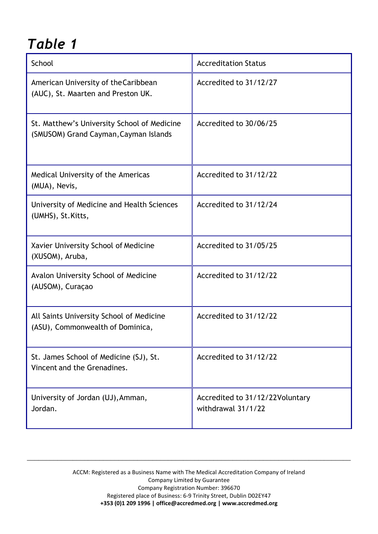# *Table 1*

| School                                                                               | <b>Accreditation Status</b>                           |
|--------------------------------------------------------------------------------------|-------------------------------------------------------|
| American University of the Caribbean<br>(AUC), St. Maarten and Preston UK.           | Accredited to 31/12/27                                |
| St. Matthew's University School of Medicine<br>(SMUSOM) Grand Cayman, Cayman Islands | Accredited to 30/06/25                                |
| Medical University of the Americas<br>(MUA), Nevis,                                  | Accredited to 31/12/22                                |
| University of Medicine and Health Sciences<br>(UMHS), St. Kitts,                     | Accredited to 31/12/24                                |
| Xavier University School of Medicine<br>(XUSOM), Aruba,                              | Accredited to 31/05/25                                |
| Avalon University School of Medicine<br>(AUSOM), Curaçao                             | Accredited to 31/12/22                                |
| All Saints University School of Medicine<br>(ASU), Commonwealth of Dominica,         | Accredited to 31/12/22                                |
| St. James School of Medicine (SJ), St.<br>Vincent and the Grenadines.                | Accredited to 31/12/22                                |
| University of Jordan (UJ), Amman,<br>Jordan.                                         | Accredited to 31/12/22Voluntary<br>withdrawal 31/1/22 |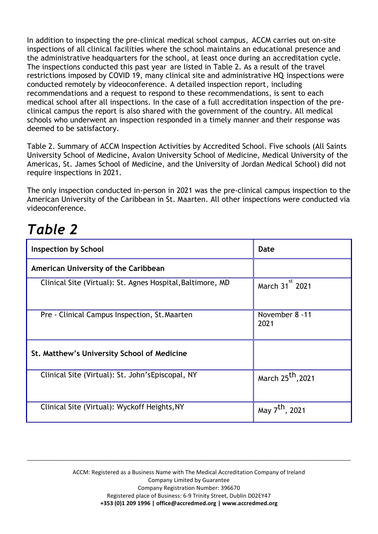In addition to inspecting the pre-clinical medical school campus, ACCM carries out on-site inspections of all clinical facilities where the school maintains an educational presence and the administrative headquarters for the school, at least once during an accreditation cycle. The inspections conducted this past year are listed in Table 2. As a result of the travel restrictions imposed by COVID 19, many clinical site and administrative HQ inspections were conducted remotely by videoconference. A detailed inspection report, including recommendations and a request to respond to these recommendations, is sent to each medical school after all inspections. In the case of a full accreditation inspection of the preclinical campus the report is also shared with the government of the country. All medical schools who underwent an inspection responded in a timely manner and their response was deemed to be satisfactory.

Table 2. Summary of ACCM Inspection Activities by Accredited School. Five schools (All Saints University School of Medicine, Avalon University School of Medicine, Medical University of the Americas, St. James School of Medicine, and the University of Jordan Medical School) did not require inspections in 2021.

The only inspection conducted in-person in 2021 was the pre-clinical campus inspection to the American University of the Caribbean in St. Maarten. All other inspections were conducted via videoconference.

# *Table 2*

| <b>Inspection by School</b>                                | Date                          |
|------------------------------------------------------------|-------------------------------|
| American University of the Caribbean                       |                               |
| Clinical Site (Virtual): St. Agnes Hospital, Baltimore, MD | March 31 <sup>st</sup> 2021   |
| Pre - Clinical Campus Inspection, St. Maarten              | November 8 -11<br>2021        |
| St. Matthew's University School of Medicine                |                               |
| Clinical Site (Virtual): St. John's Episcopal, NY          | March 25 <sup>th</sup> , 2021 |
| Clinical Site (Virtual): Wyckoff Heights, NY               | May 7 <sup>th</sup> , 2021    |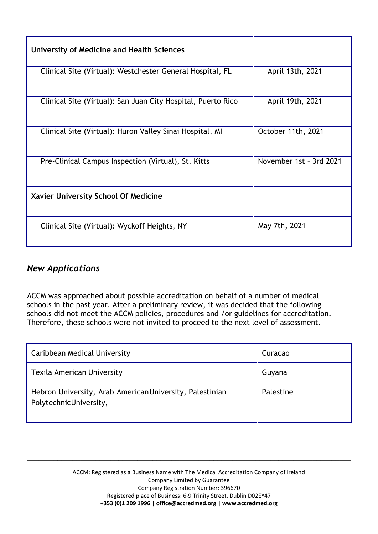| University of Medicine and Health Sciences                   |                         |
|--------------------------------------------------------------|-------------------------|
| Clinical Site (Virtual): Westchester General Hospital, FL    | April 13th, 2021        |
| Clinical Site (Virtual): San Juan City Hospital, Puerto Rico | April 19th, 2021        |
| Clinical Site (Virtual): Huron Valley Sinai Hospital, MI     | October 11th, 2021      |
| Pre-Clinical Campus Inspection (Virtual), St. Kitts          | November 1st - 3rd 2021 |
| Xavier University School Of Medicine                         |                         |
| Clinical Site (Virtual): Wyckoff Heights, NY                 | May 7th, 2021           |

# *New Applications*

ACCM was approached about possible accreditation on behalf of a number of medical schools in the past year. After a preliminary review, it was decided that the following schools did not meet the ACCM policies, procedures and /or guidelines for accreditation. Therefore, these schools were not invited to proceed to the next level of assessment.

| Caribbean Medical University                                                       | Curacao   |
|------------------------------------------------------------------------------------|-----------|
| Texila American University                                                         | Guyana    |
| Hebron University, Arab American University, Palestinian<br>PolytechnicUniversity, | Palestine |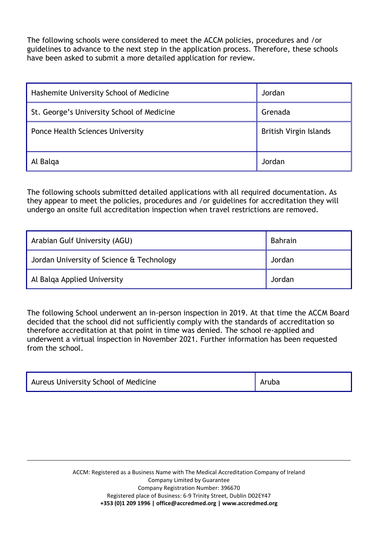The following schools were considered to meet the ACCM policies, procedures and /or guidelines to advance to the next step in the application process. Therefore, these schools have been asked to submit a more detailed application for review.

| Hashemite University School of Medicine<br>Jordan |                        |  |
|---------------------------------------------------|------------------------|--|
| St. George's University School of Medicine        | Grenada                |  |
| <b>Ponce Health Sciences University</b>           | British Virgin Islands |  |
| Al Balga                                          | Jordan                 |  |

The following schools submitted detailed applications with all required documentation. As they appear to meet the policies, procedures and /or guidelines for accreditation they will undergo an onsite full accreditation inspection when travel restrictions are removed.

| Arabian Gulf University (AGU)             | Bahrain |
|-------------------------------------------|---------|
| Jordan University of Science & Technology | Jordan  |
| Al Balga Applied University               | Jordan  |

The following School underwent an in-person inspection in 2019. At that time the ACCM Board decided that the school did not sufficiently comply with the standards of accreditation so therefore accreditation at that point in time was denied. The school re-applied and underwent a virtual inspection in November 2021. Further information has been requested from the school.

| Aureus University School of Medicine | Aruba |
|--------------------------------------|-------|
|--------------------------------------|-------|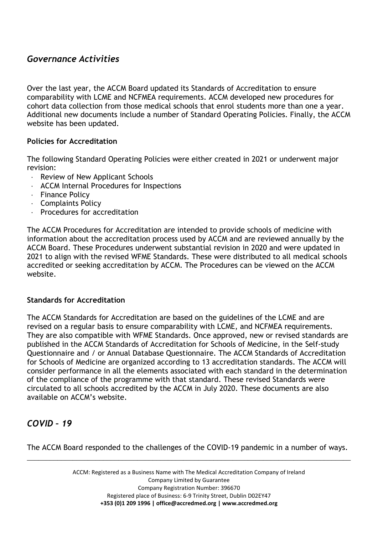# *Governance Activities*

Over the last year, the ACCM Board updated its Standards of Accreditation to ensure comparability with LCME and NCFMEA requirements. ACCM developed new procedures for cohort data collection from those medical schools that enrol students more than one a year. Additional new documents include a number of Standard Operating Policies. Finally, the ACCM website has been updated.

# **Policies for Accreditation**

The following Standard Operating Policies were either created in 2021 or underwent major revision:

- · Review of New Applicant Schools
- · ACCM Internal Procedures for Inspections
- · Finance Policy
- · Complaints Policy
- · Procedures for accreditation

The ACCM Procedures for Accreditation are intended to provide schools of medicine with information about the accreditation process used by ACCM and are reviewed annually by the ACCM Board. These Procedures underwent substantial revision in 2020 and were updated in 2021 to align with the revised WFME Standards. These were distributed to all medical schools accredited or seeking accreditation by ACCM. The Procedures can be viewed on the ACCM website.

#### **Standards for Accreditation**

The ACCM Standards for Accreditation are based on the guidelines of the LCME and are revised on a regular basis to ensure comparability with LCME, and NCFMEA requirements. They are also compatible with WFME Standards. Once approved, new or revised standards are published in the ACCM Standards of Accreditation for Schools of Medicine, in the Self-study Questionnaire and / or Annual Database Questionnaire. The ACCM Standards of Accreditation for Schools of Medicine are organized according to 13 accreditation standards. The ACCM will consider performance in all the elements associated with each standard in the determination of the compliance of the programme with that standard. These revised Standards were circulated to all schools accredited by the ACCM in July 2020. These documents are also available on ACCM's website.

# *COVID – 19*

\_\_\_\_\_\_\_\_\_\_\_\_\_\_\_\_\_\_\_\_\_\_\_\_\_\_\_\_\_\_\_\_\_\_\_\_\_\_\_\_\_\_\_\_\_\_\_\_\_\_\_\_\_\_\_\_\_\_\_\_\_\_\_\_\_\_\_\_\_\_\_\_\_\_\_\_\_\_\_\_\_\_\_\_\_ The ACCM Board responded to the challenges of the COVID-19 pandemic in a number of ways.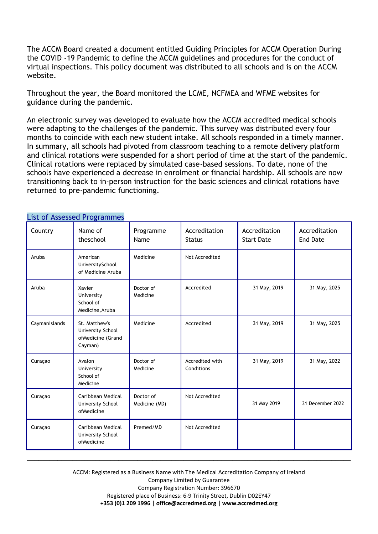The ACCM Board created a document entitled Guiding Principles for ACCM Operation During the COVID -19 Pandemic to define the ACCM guidelines and procedures for the conduct of virtual inspections. This policy document was distributed to all schools and is on the ACCM website.

Throughout the year, the Board monitored the LCME, NCFMEA and WFME websites for guidance during the pandemic.

An electronic survey was developed to evaluate how the ACCM accredited medical schools were adapting to the challenges of the pandemic. This survey was distributed every four months to coincide with each new student intake. All schools responded in a timely manner. In summary, all schools had pivoted from classroom teaching to a remote delivery platform and clinical rotations were suspended for a short period of time at the start of the pandemic. Clinical rotations were replaced by simulated case-based sessions. To date, none of the schools have experienced a decrease in enrolment or financial hardship. All schools are now transitioning back to in-person instruction for the basic sciences and clinical rotations have returned to pre-pandemic functioning.

| Country       | LIST OF ASSESSED PTORTAININGS<br>Name of<br>theschool              | Programme<br>Name          | Accreditation<br><b>Status</b> | Accreditation<br><b>Start Date</b> | Accreditation<br><b>End Date</b> |
|---------------|--------------------------------------------------------------------|----------------------------|--------------------------------|------------------------------------|----------------------------------|
| Aruba         | American<br>UniversitySchool<br>of Medicine Aruba                  | Medicine                   | Not Accredited                 |                                    |                                  |
| Aruba         | Xavier<br>University<br>School of<br>Medicine, Aruba               | Doctor of<br>Medicine      | Accredited                     | 31 May, 2019                       | 31 May, 2025                     |
| CaymanIslands | St. Matthew's<br>University School<br>ofMedicine (Grand<br>Cayman) | Medicine                   | Accredited                     | 31 May, 2019                       | 31 May, 2025                     |
| Curaçao       | Avalon<br>University<br>School of<br>Medicine                      | Doctor of<br>Medicine      | Accredited with<br>Conditions  | 31 May, 2019                       | 31 May, 2022                     |
| Curaçao       | Caribbean Medical<br>University School<br>ofMedicine               | Doctor of<br>Medicine (MD) | Not Accredited                 | 31 May 2019                        | 31 December 2022                 |
| Curaçao       | Caribbean Medical<br>University School<br>ofMedicine               | Premed/MD                  | Not Accredited                 |                                    |                                  |

# List of Assessed Programmes

ACCM: Registered as a Business Name with The Medical Accreditation Company of Ireland Company Limited by Guarantee Company Registration Number: 396670 Registered place of Business: 6-9 Trinity Street, Dublin D02EY47 **[+353 \(0\)1 2](mailto:+353%20(0)1)09 1996 | [office@accredmed.org](mailto:office@accredmed.org) | [www.accredmed.org](http://www.accredmed.org/)**